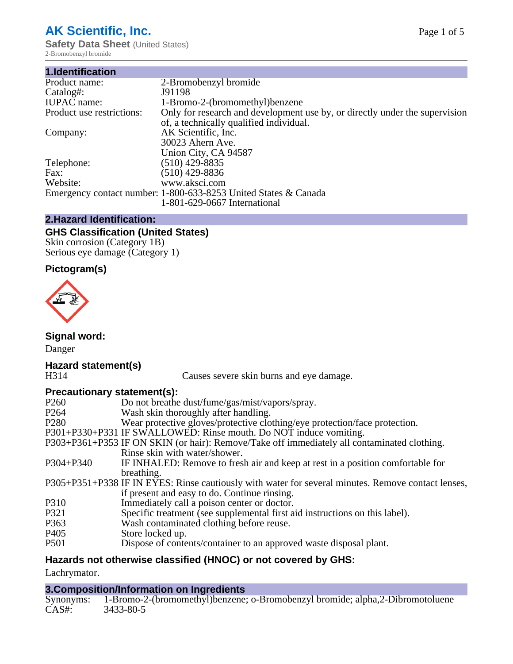## **AK Scientific, Inc.**

**Safety Data Sheet (United States)** 2-Bromobenzyl bromide

| 2-Bromobenzyl bromide                                                       |
|-----------------------------------------------------------------------------|
| J91198                                                                      |
| 1-Bromo-2-(bromomethyl) benzene                                             |
| Only for research and development use by, or directly under the supervision |
| of, a technically qualified individual.                                     |
| AK Scientific, Inc.                                                         |
| 30023 Ahern Ave.                                                            |
| Union City, CA 94587                                                        |
| $(510)$ 429-8835                                                            |
| $(510)$ 429-8836                                                            |
| www.aksci.com                                                               |
| Emergency contact number: 1-800-633-8253 United States & Canada             |
| 1-801-629-0667 International                                                |
|                                                                             |

## **2.Hazard Identification:**

## **GHS Classification (United States)**

Skin corrosion (Category 1B) Serious eye damage (Category 1)

## **Pictogram(s)**



**Signal word:**

Danger

# **Hazard statement(s)**

Causes severe skin burns and eye damage.

## **Precautionary statement(s):**

| P <sub>260</sub> | Do not breathe dust/fume/gas/mist/vapors/spray.                                                    |
|------------------|----------------------------------------------------------------------------------------------------|
| P <sub>264</sub> | Wash skin thoroughly after handling.                                                               |
| P <sub>280</sub> | Wear protective gloves/protective clothing/eye protection/face protection.                         |
|                  | P301+P330+P331 IF SWALLOWED: Rinse mouth. Do NOT induce vomiting.                                  |
|                  | P303+P361+P353 IF ON SKIN (or hair): Remove/Take off immediately all contaminated clothing.        |
|                  | Rinse skin with water/shower.                                                                      |
| $P304 + P340$    | IF INHALED: Remove to fresh air and keep at rest in a position comfortable for                     |
|                  | breathing.                                                                                         |
|                  | P305+P351+P338 IF IN EYES: Rinse cautiously with water for several minutes. Remove contact lenses, |
|                  | if present and easy to do. Continue rinsing.                                                       |
| P310             | Immediately call a poison center or doctor.                                                        |
| P321             | Specific treatment (see supplemental first aid instructions on this label).                        |
| P363             | Wash contaminated clothing before reuse.                                                           |
| P <sub>405</sub> | Store locked up.                                                                                   |
| P <sub>501</sub> | Dispose of contents/container to an approved waste disposal plant.                                 |
|                  |                                                                                                    |

## **Hazards not otherwise classified (HNOC) or not covered by GHS:**

Lachrymator.

#### **3.Composition/Information on Ingredients**

Synonyms: 1-Bromo-2-(bromomethyl)benzene; o-Bromobenzyl bromide; alpha,2-Dibromotoluene<br>CAS#: 3433-80-5 3433-80-5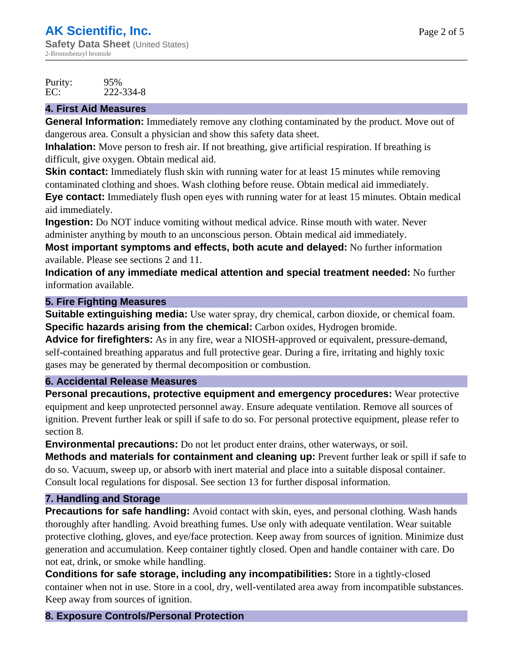Purity: 95%<br>EC: 222-EC: 222-334-8

## **4. First Aid Measures**

**General Information:** Immediately remove any clothing contaminated by the product. Move out of dangerous area. Consult a physician and show this safety data sheet.

**Inhalation:** Move person to fresh air. If not breathing, give artificial respiration. If breathing is difficult, give oxygen. Obtain medical aid.

**Skin contact:** Immediately flush skin with running water for at least 15 minutes while removing contaminated clothing and shoes. Wash clothing before reuse. Obtain medical aid immediately.

**Eye contact:** Immediately flush open eyes with running water for at least 15 minutes. Obtain medical aid immediately.

**Ingestion:** Do NOT induce vomiting without medical advice. Rinse mouth with water. Never administer anything by mouth to an unconscious person. Obtain medical aid immediately.

**Most important symptoms and effects, both acute and delayed:** No further information available. Please see sections 2 and 11.

**Indication of any immediate medical attention and special treatment needed:** No further information available.

## **5. Fire Fighting Measures**

**Suitable extinguishing media:** Use water spray, dry chemical, carbon dioxide, or chemical foam. **Specific hazards arising from the chemical:** Carbon oxides, Hydrogen bromide.

**Advice for firefighters:** As in any fire, wear a NIOSH-approved or equivalent, pressure-demand, self-contained breathing apparatus and full protective gear. During a fire, irritating and highly toxic gases may be generated by thermal decomposition or combustion.

#### **6. Accidental Release Measures**

**Personal precautions, protective equipment and emergency procedures:** Wear protective equipment and keep unprotected personnel away. Ensure adequate ventilation. Remove all sources of ignition. Prevent further leak or spill if safe to do so. For personal protective equipment, please refer to section 8.

**Environmental precautions:** Do not let product enter drains, other waterways, or soil.

**Methods and materials for containment and cleaning up:** Prevent further leak or spill if safe to do so. Vacuum, sweep up, or absorb with inert material and place into a suitable disposal container. Consult local regulations for disposal. See section 13 for further disposal information.

## **7. Handling and Storage**

**Precautions for safe handling:** Avoid contact with skin, eyes, and personal clothing. Wash hands thoroughly after handling. Avoid breathing fumes. Use only with adequate ventilation. Wear suitable protective clothing, gloves, and eye/face protection. Keep away from sources of ignition. Minimize dust generation and accumulation. Keep container tightly closed. Open and handle container with care. Do not eat, drink, or smoke while handling.

**Conditions for safe storage, including any incompatibilities:** Store in a tightly-closed container when not in use. Store in a cool, dry, well-ventilated area away from incompatible substances. Keep away from sources of ignition.

## **8. Exposure Controls/Personal Protection**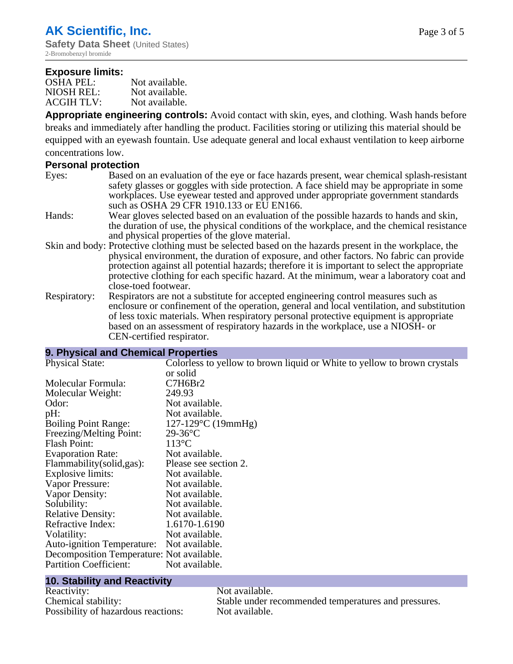#### **Exposure limits:**

| OSHA PEL:         | Not available. |
|-------------------|----------------|
| NIOSH REL:        | Not available. |
| <b>ACGIH TLV:</b> | Not available. |

**Appropriate engineering controls:** Avoid contact with skin, eyes, and clothing. Wash hands before breaks and immediately after handling the product. Facilities storing or utilizing this material should be equipped with an eyewash fountain. Use adequate general and local exhaust ventilation to keep airborne concentrations low.

#### **Personal protection**

| Eyes: | Based on an evaluation of the eye or face hazards present, wear chemical splash-resistant |
|-------|-------------------------------------------------------------------------------------------|
|       | safety glasses or goggles with side protection. A face shield may be appropriate in some  |
|       | workplaces. Use eyewear tested and approved under appropriate government standards        |
|       | such as OSHA 29 CFR 1910.133 or EU EN166.                                                 |

- Hands: Wear gloves selected based on an evaluation of the possible hazards to hands and skin, the duration of use, the physical conditions of the workplace, and the chemical resistance and physical properties of the glove material.
- Skin and body: Protective clothing must be selected based on the hazards present in the workplace, the physical environment, the duration of exposure, and other factors. No fabric can provide protection against all potential hazards; therefore it is important to select the appropriate protective clothing for each specific hazard. At the minimum, wear a laboratory coat and close-toed footwear.
- Respiratory: Respirators are not a substitute for accepted engineering control measures such as enclosure or confinement of the operation, general and local ventilation, and substitution of less toxic materials. When respiratory personal protective equipment is appropriate based on an assessment of respiratory hazards in the workplace, use a NIOSH- or CEN-certified respirator.

#### **9. Physical and Chemical Properties**

| <b>Physical State:</b>                    | Colorless to yellow to brown liquid or White to yellow to brown crystals |
|-------------------------------------------|--------------------------------------------------------------------------|
|                                           | or solid                                                                 |
| Molecular Formula:                        | C7H6Br2                                                                  |
| Molecular Weight:                         | 249.93                                                                   |
| Odor:                                     | Not available.                                                           |
| pH:                                       | Not available.                                                           |
| <b>Boiling Point Range:</b>               | $127-129$ °C (19mmHg)                                                    |
| Freezing/Melting Point:                   | $29-36$ °C                                                               |
| Flash Point:                              | $113^{\circ}$ C                                                          |
| <b>Evaporation Rate:</b>                  | Not available.                                                           |
| Flammability (solid, gas):                | Please see section 2.                                                    |
| Explosive limits:                         | Not available.                                                           |
| Vapor Pressure:                           | Not available.                                                           |
| Vapor Density:                            | Not available.                                                           |
| Solubility:                               | Not available.                                                           |
| <b>Relative Density:</b>                  | Not available.                                                           |
| Refractive Index:                         | 1.6170-1.6190                                                            |
| Volatility:                               | Not available.                                                           |
| Auto-ignition Temperature: Not available. |                                                                          |
| Decomposition Temperature: Not available. |                                                                          |
| <b>Partition Coefficient:</b>             | Not available.                                                           |
|                                           |                                                                          |

## **10. Stability and Reactivity**

Reactivity: Not available. Possibility of hazardous reactions: Not available.

Chemical stability: Stable under recommended temperatures and pressures.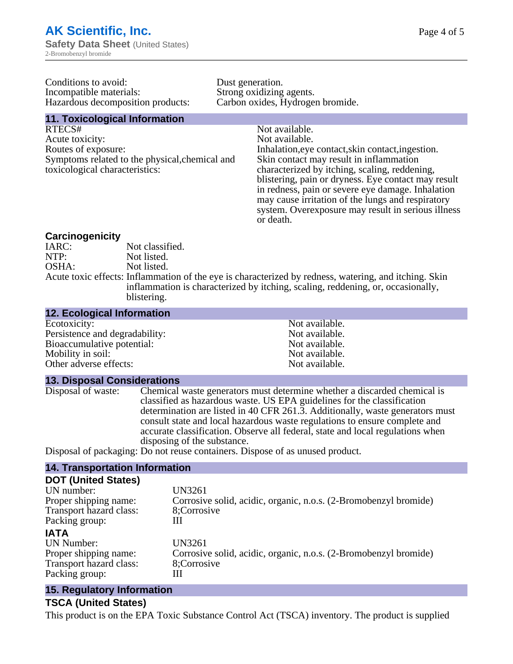Conditions to avoid: Dust generation. Incompatible materials:<br>
Hazardous decomposition products: Carbon oxides, Hydrogen bromide. Hazardous decomposition products:

## **11. Toxicological Information**

RTECS# Not available. Acute toxicity: Not available. Routes of exposure: Inhalation,eye contact,skin contact,ingestion. Symptoms related to the physical,chemical and toxicological characteristics:

Skin contact may result in inflammation characterized by itching, scaling, reddening, blistering, pain or dryness. Eye contact may result in redness, pain or severe eye damage. Inhalation may cause irritation of the lungs and respiratory system. Overexposure may result in serious illness or death.

#### **Carcinogenicity**

| IARC: | Not classified.                                                                                       |
|-------|-------------------------------------------------------------------------------------------------------|
| NTP:  | Not listed.                                                                                           |
| OSHA: | Not listed.                                                                                           |
|       | Acute toxic effects: Inflammation of the eye is characterized by redness, watering, and itching. Skin |
|       | inflammation is characterized by itching, scaling, reddening, or, occasionally,                       |
|       | blistering.                                                                                           |

| <b>12. Ecological Information</b> |                |
|-----------------------------------|----------------|
| Ecotoxicity:                      | Not available. |
| Persistence and degradability:    | Not available. |
| Bioaccumulative potential:        | Not available. |
| Mobility in soil:                 | Not available. |
| Other adverse effects:            | Not available. |

#### **13. Disposal Considerations**

Disposal of waste: Chemical waste generators must determine whether a discarded chemical is classified as hazardous waste. US EPA guidelines for the classification determination are listed in 40 CFR 261.3. Additionally, waste generators must consult state and local hazardous waste regulations to ensure complete and accurate classification. Observe all federal, state and local regulations when disposing of the substance.

Disposal of packaging: Do not reuse containers. Dispose of as unused product.

#### **14. Transportation Information**

| <b>DOT (United States)</b> |                                                                  |
|----------------------------|------------------------------------------------------------------|
| UN number:                 | <b>UN3261</b>                                                    |
| Proper shipping name:      | Corrosive solid, acidic, organic, n.o.s. (2-Bromobenzyl bromide) |
| Transport hazard class:    | 8;Corrosive                                                      |
| Packing group:             | Ш                                                                |
| <b>IATA</b>                |                                                                  |
| UN Number:                 | <b>UN3261</b>                                                    |
| Proper shipping name:      | Corrosive solid, acidic, organic, n.o.s. (2-Bromobenzyl bromide) |
| Transport hazard class:    | 8;Corrosive                                                      |
| Packing group:             | Ш                                                                |
|                            |                                                                  |

#### **15. Regulatory Information**

#### **TSCA (United States)**

This product is on the EPA Toxic Substance Control Act (TSCA) inventory. The product is supplied